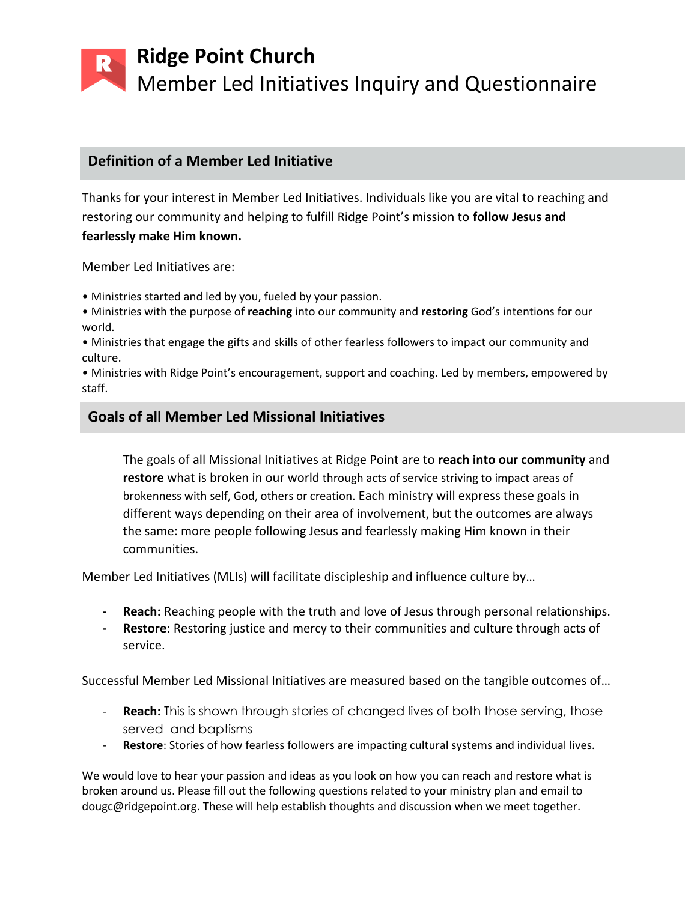**Ridge Point Church**  Member Led Initiatives Inquiry and Questionnaire

## **Definition of a Member Led Initiative**

Thanks for your interest in Member Led Initiatives. Individuals like you are vital to reaching and restoring our community and helping to fulfill Ridge Point's mission to **follow Jesus and fearlessly make Him known.**

Member Led Initiatives are:

• Ministries started and led by you, fueled by your passion.

• Ministries with the purpose of **reaching** into our community and **restoring** God's intentions for our world.

• Ministries that engage the gifts and skills of other fearless followers to impact our community and culture.

• Ministries with Ridge Point's encouragement, support and coaching. Led by members, empowered by staff.

## **Goals of all Member Led Missional Initiatives**

The goals of all Missional Initiatives at Ridge Point are to **reach into our community** and **restore** what is broken in our world through acts of service striving to impact areas of brokenness with self, God, others or creation. Each ministry will express these goals in different ways depending on their area of involvement, but the outcomes are always the same: more people following Jesus and fearlessly making Him known in their communities.

Member Led Initiatives (MLIs) will facilitate discipleship and influence culture by…

- **- Reach:** Reaching people with the truth and love of Jesus through personal relationships.
- **- Restore**: Restoring justice and mercy to their communities and culture through acts of service.

Successful Member Led Missional Initiatives are measured based on the tangible outcomes of…

- **Reach:** This is shown through stories of changed lives of both those serving, those served and baptisms
- Restore: Stories of how fearless followers are impacting cultural systems and individual lives.

We would love to hear your passion and ideas as you look on how you can reach and restore what is broken around us. Please fill out the following questions related to your ministry plan and email to dougc@ridgepoint.org. These will help establish thoughts and discussion when we meet together.